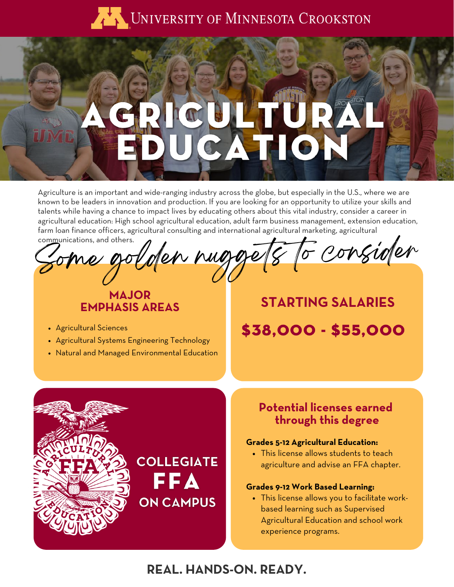

# $\bullet$

Agriculture is an important and wide-ranging industry across the globe, but especially in the U.S., where we are known to be leaders in innovation and production. If you are looking for an opportunity to utilize your skills and talents while having a chance to impact lives by educating others about this vital industry, consider a career in agricultural education: High school agricultural education, adult farm business management, extension education, farm loan finance officers, agricultural consulting and international agricultural marketing, agricultural communications, and others.

en nuggets to consider

## **MAJOR EMPHASIS AREAS**

- Agricultural Sciences
- Agricultural Systems Engineering Technology
- Natural and Managed Environmental Education

# **STARTING SALARIES** \$38,000 - \$55,000



This license allows students to teach agriculture and advise an FFA chapter.

### **Grades 9-12 Work Based Learning:**

This license allows you to facilitate workbased learning such as Supervised Agricultural Education and school work experience programs.

# **REAL. HANDS-ON. READY.**

FFA

**ON CAMPUS**